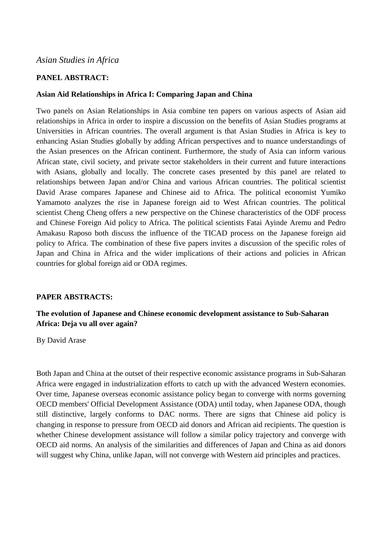# *Asian Studies in Africa*

# **PANEL ABSTRACT:**

## **Asian Aid Relationships in Africa I: Comparing Japan and China**

Two panels on Asian Relationships in Asia combine ten papers on various aspects of Asian aid relationships in Africa in order to inspire a discussion on the benefits of Asian Studies programs at Universities in African countries. The overall argument is that Asian Studies in Africa is key to enhancing Asian Studies globally by adding African perspectives and to nuance understandings of the Asian presences on the African continent. Furthermore, the study of Asia can inform various African state, civil society, and private sector stakeholders in their current and future interactions with Asians, globally and locally. The concrete cases presented by this panel are related to relationships between Japan and/or China and various African countries. The political scientist David Arase compares Japanese and Chinese aid to Africa. The political economist Yumiko Yamamoto analyzes the rise in Japanese foreign aid to West African countries. The political scientist Cheng Cheng offers a new perspective on the Chinese characteristics of the ODF process and Chinese Foreign Aid policy to Africa. The political scientists Fatai Ayinde Aremu and Pedro Amakasu Raposo both discuss the influence of the TICAD process on the Japanese foreign aid policy to Africa. The combination of these five papers invites a discussion of the specific roles of Japan and China in Africa and the wider implications of their actions and policies in African countries for global foreign aid or ODA regimes.

### **PAPER ABSTRACTS:**

# **The evolution of Japanese and Chinese economic development assistance to Sub-Saharan Africa: Deja vu all over again?**

By David Arase

Both Japan and China at the outset of their respective economic assistance programs in Sub-Saharan Africa were engaged in industrialization efforts to catch up with the advanced Western economies. Over time, Japanese overseas economic assistance policy began to converge with norms governing OECD members' Official Development Assistance (ODA) until today, when Japanese ODA, though still distinctive, largely conforms to DAC norms. There are signs that Chinese aid policy is changing in response to pressure from OECD aid donors and African aid recipients. The question is whether Chinese development assistance will follow a similar policy trajectory and converge with OECD aid norms. An analysis of the similarities and differences of Japan and China as aid donors will suggest why China, unlike Japan, will not converge with Western aid principles and practices.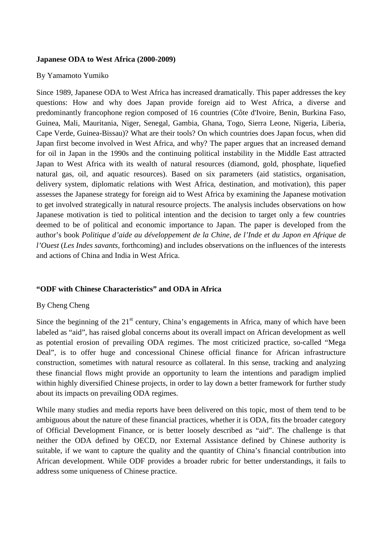### **Japanese ODA to West Africa (2000-2009)**

### By Yamamoto Yumiko

Since 1989, Japanese ODA to West Africa has increased dramatically. This paper addresses the key questions: How and why does Japan provide foreign aid to West Africa, a diverse and predominantly francophone region composed of 16 countries (Côte d'Ivoire, Benin, Burkina Faso, Guinea, Mali, Mauritania, Niger, Senegal, Gambia, Ghana, Togo, Sierra Leone, Nigeria, Liberia, Cape Verde, Guinea-Bissau)? What are their tools? On which countries does Japan focus, when did Japan first become involved in West Africa, and why? The paper argues that an increased demand for oil in Japan in the 1990s and the continuing political instability in the Middle East attracted Japan to West Africa with its wealth of natural resources (diamond, gold, phosphate, liquefied natural gas, oil, and aquatic resources). Based on six parameters (aid statistics, organisation, delivery system, diplomatic relations with West Africa, destination, and motivation), this paper assesses the Japanese strategy for foreign aid to West Africa by examining the Japanese motivation to get involved strategically in natural resource projects. The analysis includes observations on how Japanese motivation is tied to political intention and the decision to target only a few countries deemed to be of political and economic importance to Japan. The paper is developed from the author's book *Politique d'aide au développement de la Chine, de l'Inde et du Japon en Afrique de l'Ouest* (*Les Indes savants,* forthcoming) and includes observations on the influences of the interests and actions of China and India in West Africa.

### **"ODF with Chinese Characteristics" and ODA in Africa**

### By Cheng Cheng

Since the beginning of the  $21<sup>st</sup>$  century, China's engagements in Africa, many of which have been labeled as "aid", has raised global concerns about its overall impact on African development as well as potential erosion of prevailing ODA regimes. The most criticized practice, so-called "Mega Deal", is to offer huge and concessional Chinese official finance for African infrastructure construction, sometimes with natural resource as collateral. In this sense, tracking and analyzing these financial flows might provide an opportunity to learn the intentions and paradigm implied within highly diversified Chinese projects, in order to lay down a better framework for further study about its impacts on prevailing ODA regimes.

While many studies and media reports have been delivered on this topic, most of them tend to be ambiguous about the nature of these financial practices, whether it is ODA, fits the broader category of Official Development Finance, or is better loosely described as "aid". The challenge is that neither the ODA defined by OECD, nor External Assistance defined by Chinese authority is suitable, if we want to capture the quality and the quantity of China's financial contribution into African development. While ODF provides a broader rubric for better understandings, it fails to address some uniqueness of Chinese practice.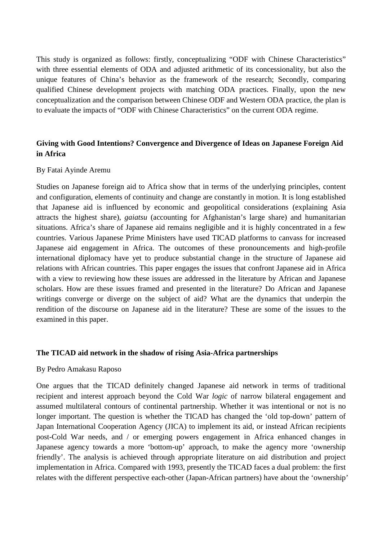This study is organized as follows: firstly, conceptualizing "ODF with Chinese Characteristics" with three essential elements of ODA and adjusted arithmetic of its concessionality, but also the unique features of China's behavior as the framework of the research; Secondly, comparing qualified Chinese development projects with matching ODA practices. Finally, upon the new conceptualization and the comparison between Chinese ODF and Western ODA practice, the plan is to evaluate the impacts of "ODF with Chinese Characteristics" on the current ODA regime.

# **Giving with Good Intentions? Convergence and Divergence of Ideas on Japanese Foreign Aid in Africa**

### By Fatai Ayinde Aremu

Studies on Japanese foreign aid to Africa show that in terms of the underlying principles, content and configuration, elements of continuity and change are constantly in motion. It is long established that Japanese aid is influenced by economic and geopolitical considerations (explaining Asia attracts the highest share), *gaiatsu* (accounting for Afghanistan's large share) and humanitarian situations. Africa's share of Japanese aid remains negligible and it is highly concentrated in a few countries. Various Japanese Prime Ministers have used TICAD platforms to canvass for increased Japanese aid engagement in Africa. The outcomes of these pronouncements and high-profile international diplomacy have yet to produce substantial change in the structure of Japanese aid relations with African countries. This paper engages the issues that confront Japanese aid in Africa with a view to reviewing how these issues are addressed in the literature by African and Japanese scholars. How are these issues framed and presented in the literature? Do African and Japanese writings converge or diverge on the subject of aid? What are the dynamics that underpin the rendition of the discourse on Japanese aid in the literature? These are some of the issues to the examined in this paper.

### **The TICAD aid network in the shadow of rising Asia-Africa partnerships**

### By Pedro Amakasu Raposo

One argues that the TICAD definitely changed Japanese aid network in terms of traditional recipient and interest approach beyond the Cold War *logic* of narrow bilateral engagement and assumed multilateral contours of continental partnership. Whether it was intentional or not is no longer important. The question is whether the TICAD has changed the 'old top-down' pattern of Japan International Cooperation Agency (JICA) to implement its aid, or instead African recipients post-Cold War needs, and / or emerging powers engagement in Africa enhanced changes in Japanese agency towards a more 'bottom-up' approach, to make the agency more 'ownership friendly'. The analysis is achieved through appropriate literature on aid distribution and project implementation in Africa. Compared with 1993, presently the TICAD faces a dual problem: the first relates with the different perspective each-other (Japan-African partners) have about the 'ownership'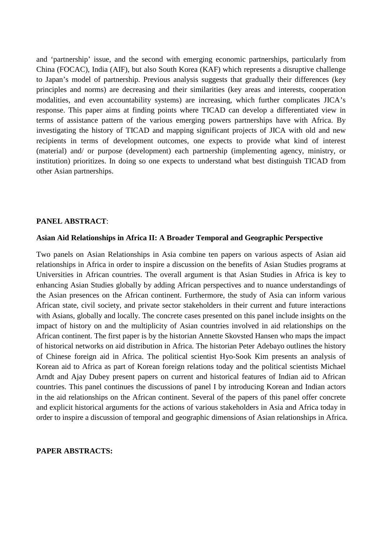and 'partnership' issue, and the second with emerging economic partnerships, particularly from China (FOCAC), India (AIF), but also South Korea (KAF) which represents a disruptive challenge to Japan's model of partnership. Previous analysis suggests that gradually their differences (key principles and norms) are decreasing and their similarities (key areas and interests, cooperation modalities, and even accountability systems) are increasing, which further complicates JICA's response. This paper aims at finding points where TICAD can develop a differentiated view in terms of assistance pattern of the various emerging powers partnerships have with Africa. By investigating the history of TICAD and mapping significant projects of JICA with old and new recipients in terms of development outcomes, one expects to provide what kind of interest (material) and/ or purpose (development) each partnership (implementing agency, ministry, or institution) prioritizes. In doing so one expects to understand what best distinguish TICAD from other Asian partnerships.

#### **PANEL ABSTRACT**:

#### **Asian Aid Relationships in Africa II: A Broader Temporal and Geographic Perspective**

Two panels on Asian Relationships in Asia combine ten papers on various aspects of Asian aid relationships in Africa in order to inspire a discussion on the benefits of Asian Studies programs at Universities in African countries. The overall argument is that Asian Studies in Africa is key to enhancing Asian Studies globally by adding African perspectives and to nuance understandings of the Asian presences on the African continent. Furthermore, the study of Asia can inform various African state, civil society, and private sector stakeholders in their current and future interactions with Asians, globally and locally. The concrete cases presented on this panel include insights on the impact of history on and the multiplicity of Asian countries involved in aid relationships on the African continent. The first paper is by the historian Annette Skovsted Hansen who maps the impact of historical networks on aid distribution in Africa. The historian Peter Adebayo outlines the history of Chinese foreign aid in Africa. The political scientist Hyo-Sook Kim presents an analysis of Korean aid to Africa as part of Korean foreign relations today and the political scientists Michael Arndt and Ajay Dubey present papers on current and historical features of Indian aid to African countries. This panel continues the discussions of panel I by introducing Korean and Indian actors in the aid relationships on the African continent. Several of the papers of this panel offer concrete and explicit historical arguments for the actions of various stakeholders in Asia and Africa today in order to inspire a discussion of temporal and geographic dimensions of Asian relationships in Africa.

#### **PAPER ABSTRACTS:**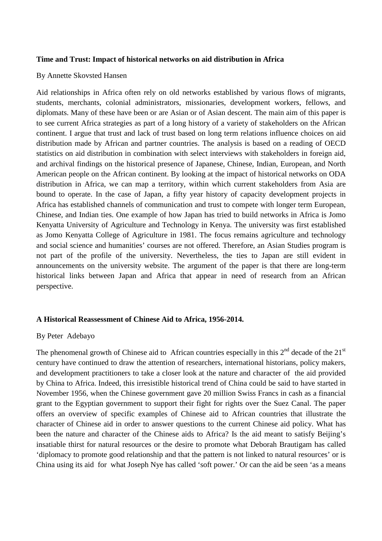### **Time and Trust: Impact of historical networks on aid distribution in Africa**

#### By Annette Skovsted Hansen

Aid relationships in Africa often rely on old networks established by various flows of migrants, students, merchants, colonial administrators, missionaries, development workers, fellows, and diplomats. Many of these have been or are Asian or of Asian descent. The main aim of this paper is to see current Africa strategies as part of a long history of a variety of stakeholders on the African continent. I argue that trust and lack of trust based on long term relations influence choices on aid distribution made by African and partner countries. The analysis is based on a reading of OECD statistics on aid distribution in combination with select interviews with stakeholders in foreign aid, and archival findings on the historical presence of Japanese, Chinese, Indian, European, and North American people on the African continent. By looking at the impact of historical networks on ODA distribution in Africa, we can map a territory, within which current stakeholders from Asia are bound to operate. In the case of Japan, a fifty year history of capacity development projects in Africa has established channels of communication and trust to compete with longer term European, Chinese, and Indian ties. One example of how Japan has tried to build networks in Africa is Jomo Kenyatta University of Agriculture and Technology in Kenya. The university was first established as Jomo Kenyatta College of Agriculture in 1981. The focus remains agriculture and technology and social science and humanities' courses are not offered. Therefore, an Asian Studies program is not part of the profile of the university. Nevertheless, the ties to Japan are still evident in announcements on the university website. The argument of the paper is that there are long-term historical links between Japan and Africa that appear in need of research from an African perspective.

### **A Historical Reassessment of Chinese Aid to Africa, 1956-2014.**

# By Peter Adebayo

The phenomenal growth of Chinese aid to African countries especially in this  $2<sup>nd</sup>$  decade of the  $21<sup>st</sup>$ century have continued to draw the attention of researchers, international historians, policy makers, and development practitioners to take a closer look at the nature and character of the aid provided by China to Africa. Indeed, this irresistible historical trend of China could be said to have started in November 1956, when the Chinese government gave 20 million Swiss Francs in cash as a financial grant to the Egyptian government to support their fight for rights over the Suez Canal. The paper offers an overview of specific examples of Chinese aid to African countries that illustrate the character of Chinese aid in order to answer questions to the current Chinese aid policy. What has been the nature and character of the Chinese aids to Africa? Is the aid meant to satisfy Beijing's insatiable thirst for natural resources or the desire to promote what Deborah Brautigam has called 'diplomacy to promote good relationship and that the pattern is not linked to natural resources' or is China using its aid for what Joseph Nye has called 'soft power.' Or can the aid be seen 'as a means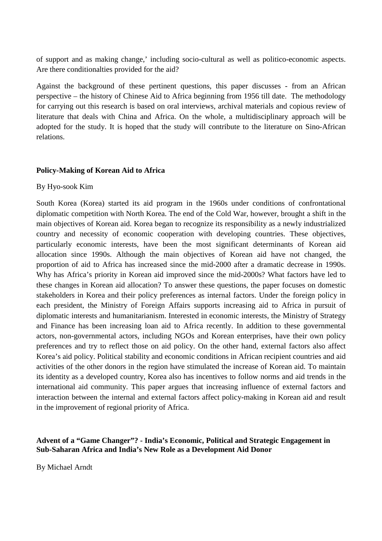of support and as making change,' including socio-cultural as well as politico-economic aspects. Are there conditionalties provided for the aid?

Against the background of these pertinent questions, this paper discusses - from an African perspective – the history of Chinese Aid to Africa beginning from 1956 till date. The methodology for carrying out this research is based on oral interviews, archival materials and copious review of literature that deals with China and Africa. On the whole, a multidisciplinary approach will be adopted for the study. It is hoped that the study will contribute to the literature on Sino-African relations.

# **Policy-Making of Korean Aid to Africa**

### By Hyo-sook Kim

South Korea (Korea) started its aid program in the 1960s under conditions of confrontational diplomatic competition with North Korea. The end of the Cold War, however, brought a shift in the main objectives of Korean aid. Korea began to recognize its responsibility as a newly industrialized country and necessity of economic cooperation with developing countries. These objectives, particularly economic interests, have been the most significant determinants of Korean aid allocation since 1990s. Although the main objectives of Korean aid have not changed, the proportion of aid to Africa has increased since the mid-2000 after a dramatic decrease in 1990s. Why has Africa's priority in Korean aid improved since the mid-2000s? What factors have led to these changes in Korean aid allocation? To answer these questions, the paper focuses on domestic stakeholders in Korea and their policy preferences as internal factors. Under the foreign policy in each president, the Ministry of Foreign Affairs supports increasing aid to Africa in pursuit of diplomatic interests and humanitarianism. Interested in economic interests, the Ministry of Strategy and Finance has been increasing loan aid to Africa recently. In addition to these governmental actors, non-governmental actors, including NGOs and Korean enterprises, have their own policy preferences and try to reflect those on aid policy. On the other hand, external factors also affect Korea's aid policy. Political stability and economic conditions in African recipient countries and aid activities of the other donors in the region have stimulated the increase of Korean aid. To maintain its identity as a developed country, Korea also has incentives to follow norms and aid trends in the international aid community. This paper argues that increasing influence of external factors and interaction between the internal and external factors affect policy-making in Korean aid and result in the improvement of regional priority of Africa.

## **Advent of a "Game Changer"? - India's Economic, Political and Strategic Engagement in Sub-Saharan Africa and India's New Role as a Development Aid Donor**

By Michael Arndt